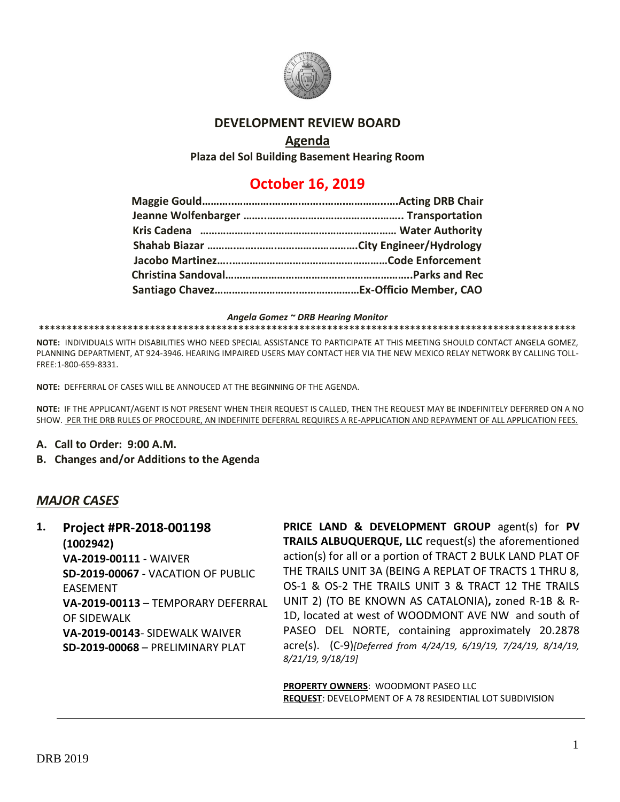

#### **DEVELOPMENT REVIEW BOARD**

### **Agenda**

**Plaza del Sol Building Basement Hearing Room**

# **October 16, 2019**

*Angela Gomez ~ DRB Hearing Monitor*

**\*\*\*\*\*\*\*\*\*\*\*\*\*\*\*\*\*\*\*\*\*\*\*\*\*\*\*\*\*\*\*\*\*\*\*\*\*\*\*\*\*\*\*\*\*\*\*\*\*\*\*\*\*\*\*\*\*\*\*\*\*\*\*\*\*\*\*\*\*\*\*\*\*\*\*\*\*\*\*\*\*\*\*\*\*\*\*\*\*\*\*\*\*\*\*\*\***

**NOTE:** INDIVIDUALS WITH DISABILITIES WHO NEED SPECIAL ASSISTANCE TO PARTICIPATE AT THIS MEETING SHOULD CONTACT ANGELA GOMEZ, PLANNING DEPARTMENT, AT 924-3946. HEARING IMPAIRED USERS MAY CONTACT HER VIA THE NEW MEXICO RELAY NETWORK BY CALLING TOLL-FREE:1-800-659-8331.

**NOTE:** DEFFERRAL OF CASES WILL BE ANNOUCED AT THE BEGINNING OF THE AGENDA.

**NOTE:** IF THE APPLICANT/AGENT IS NOT PRESENT WHEN THEIR REQUEST IS CALLED, THEN THE REQUEST MAY BE INDEFINITELY DEFERRED ON A NO SHOW. PER THE DRB RULES OF PROCEDURE, AN INDEFINITE DEFERRAL REQUIRES A RE-APPLICATION AND REPAYMENT OF ALL APPLICATION FEES.

- **A. Call to Order: 9:00 A.M.**
- **B. Changes and/or Additions to the Agenda**

# *MAJOR CASES*

**1. Project #PR-2018-001198 (1002942) VA-2019-00111** - WAIVER **SD-2019-00067** - VACATION OF PUBLIC EASEMENT **VA-2019-00113** – TEMPORARY DEFERRAL OF SIDEWALK **VA-2019-00143**- SIDEWALK WAIVER **SD-2019-00068** – PRELIMINARY PLAT

**PRICE LAND & DEVELOPMENT GROUP** agent(s) for **PV TRAILS ALBUQUERQUE, LLC** request(s) the aforementioned action(s) for all or a portion of TRACT 2 BULK LAND PLAT OF THE TRAILS UNIT 3A (BEING A REPLAT OF TRACTS 1 THRU 8, OS-1 & OS-2 THE TRAILS UNIT 3 & TRACT 12 THE TRAILS UNIT 2) (TO BE KNOWN AS CATALONIA)**,** zoned R-1B & R-1D, located at west of WOODMONT AVE NW and south of PASEO DEL NORTE, containing approximately 20.2878 acre(s). (C-9)*[Deferred from 4/24/19, 6/19/19, 7/24/19, 8/14/19, 8/21/19, 9/18/19]*

**PROPERTY OWNERS**: WOODMONT PASEO LLC **REQUEST**: DEVELOPMENT OF A 78 RESIDENTIAL LOT SUBDIVISION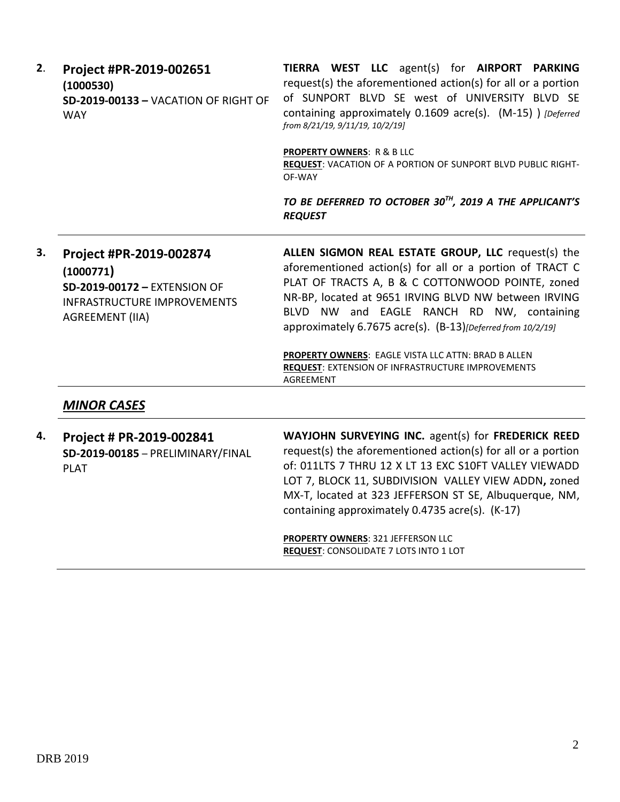| 2. | Project #PR-2019-002651<br>(1000530)<br>SD-2019-00133 - VACATION OF RIGHT OF<br><b>WAY</b>                                           | TIERRA WEST LLC agent(s) for AIRPORT PARKING<br>request(s) the aforementioned action(s) for all or a portion<br>of SUNPORT BLVD SE west of UNIVERSITY BLVD SE<br>containing approximately 0.1609 acre(s). (M-15) ) [Deferred<br>from 8/21/19, 9/11/19, 10/2/19]<br><b>PROPERTY OWNERS: R &amp; B LLC</b><br>REQUEST: VACATION OF A PORTION OF SUNPORT BLVD PUBLIC RIGHT-<br>OF-WAY            |
|----|--------------------------------------------------------------------------------------------------------------------------------------|-----------------------------------------------------------------------------------------------------------------------------------------------------------------------------------------------------------------------------------------------------------------------------------------------------------------------------------------------------------------------------------------------|
|    |                                                                                                                                      | TO BE DEFERRED TO OCTOBER 30 <sup>TH</sup> , 2019 A THE APPLICANT'S<br><b>REQUEST</b>                                                                                                                                                                                                                                                                                                         |
| 3. | Project #PR-2019-002874<br>(1000771)<br>SD-2019-00172 - EXTENSION OF<br><b>INFRASTRUCTURE IMPROVEMENTS</b><br><b>AGREEMENT (IIA)</b> | ALLEN SIGMON REAL ESTATE GROUP, LLC request(s) the<br>aforementioned action(s) for all or a portion of TRACT C<br>PLAT OF TRACTS A, B & C COTTONWOOD POINTE, zoned<br>NR-BP, located at 9651 IRVING BLVD NW between IRVING<br>BLVD NW and EAGLE RANCH RD NW, containing<br>approximately 6.7675 acre(s). (B-13)[Deferred from 10/2/19]<br>PROPERTY OWNERS: EAGLE VISTA LLC ATTN: BRAD B ALLEN |
|    |                                                                                                                                      | <b>REQUEST: EXTENSION OF INFRASTRUCTURE IMPROVEMENTS</b><br><b>AGREEMENT</b>                                                                                                                                                                                                                                                                                                                  |
|    | <b>MINOR CASES</b>                                                                                                                   |                                                                                                                                                                                                                                                                                                                                                                                               |
| 4. | Project # PR-2019-002841<br>SD-2019-00185 - PRELIMINARY/FINAL<br><b>PLAT</b>                                                         | WAYJOHN SURVEYING INC. agent(s) for FREDERICK REED<br>request(s) the aforementioned action(s) for all or a portion<br>of: 011LTS 7 THRU 12 X LT 13 EXC S10FT VALLEY VIEWADD<br>LOT 7, BLOCK 11, SUBDIVISION VALLEY VIEW ADDN, zoned<br>MX-T, located at 323 JEFFERSON ST SE, Albuquerque, NM,<br>containing approximately 0.4735 acre(s). (K-17)                                              |

**PROPERTY OWNERS**: 321 JEFFERSON LLC **REQUEST**: CONSOLIDATE 7 LOTS INTO 1 LOT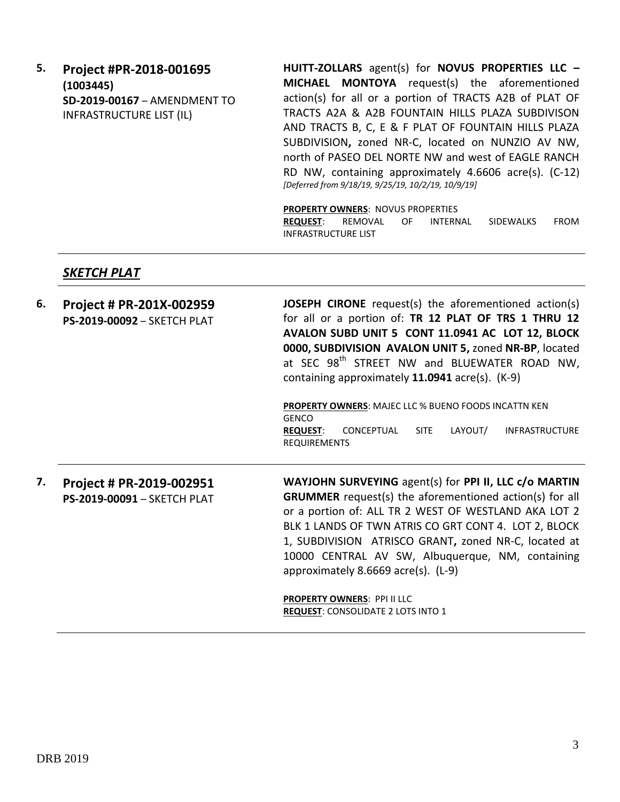**5. Project #PR-2018-001695 (1003445) SD-2019-00167** – AMENDMENT TO INFRASTRUCTURE LIST (IL)

**HUITT-ZOLLARS** agent(s) for **NOVUS PROPERTIES LLC – MICHAEL MONTOYA** request(s) the aforementioned action(s) for all or a portion of TRACTS A2B of PLAT OF TRACTS A2A & A2B FOUNTAIN HILLS PLAZA SUBDIVISON AND TRACTS B, C, E & F PLAT OF FOUNTAIN HILLS PLAZA SUBDIVISION**,** zoned NR-C, located on NUNZIO AV NW, north of PASEO DEL NORTE NW and west of EAGLE RANCH RD NW, containing approximately 4.6606 acre(s). (C-12) *[Deferred from 9/18/19, 9/25/19, 10/2/19, 10/9/19]*

**PROPERTY OWNERS**: NOVUS PROPERTIES

**REQUEST**: REMOVAL OF INTERNAL SIDEWALKS FROM INFRASTRUCTURE LIST

#### *SKETCH PLAT*

| 6. | Project # PR-201X-002959<br>PS-2019-00092 - SKETCH PLAT | <b>JOSEPH CIRONE</b> request(s) the aforementioned action(s)<br>for all or a portion of: TR 12 PLAT OF TRS 1 THRU 12<br>AVALON SUBD UNIT 5 CONT 11.0941 AC LOT 12, BLOCK<br>0000, SUBDIVISION AVALON UNIT 5, zoned NR-BP, located<br>at SEC 98 <sup>th</sup> STREET NW and BLUEWATER ROAD NW,<br>containing approximately 11.0941 acre(s). (K-9)                                             |
|----|---------------------------------------------------------|----------------------------------------------------------------------------------------------------------------------------------------------------------------------------------------------------------------------------------------------------------------------------------------------------------------------------------------------------------------------------------------------|
|    |                                                         | <b>PROPERTY OWNERS: MAJEC LLC % BUENO FOODS INCATTN KEN</b><br><b>GENCO</b><br>LAYOUT/<br>CONCEPTUAL<br><b>SITE</b><br><b>INFRASTRUCTURE</b><br><b>REQUEST:</b><br><b>REQUIREMENTS</b>                                                                                                                                                                                                       |
| 7. | Project # PR-2019-002951<br>PS-2019-00091 - SKETCH PLAT | WAYJOHN SURVEYING agent(s) for PPI II, LLC c/o MARTIN<br><b>GRUMMER</b> request(s) the aforementioned action(s) for all<br>or a portion of: ALL TR 2 WEST OF WESTLAND AKA LOT 2<br>BLK 1 LANDS OF TWN ATRIS CO GRT CONT 4. LOT 2, BLOCK<br>1, SUBDIVISION ATRISCO GRANT, zoned NR-C, located at<br>10000 CENTRAL AV SW, Albuquerque, NM, containing<br>approximately 8.6669 acre(s). $(L-9)$ |
|    |                                                         | PROPERTY OWNERS: PPI II LLC<br>REQUEST: CONSOLIDATE 2 LOTS INTO 1                                                                                                                                                                                                                                                                                                                            |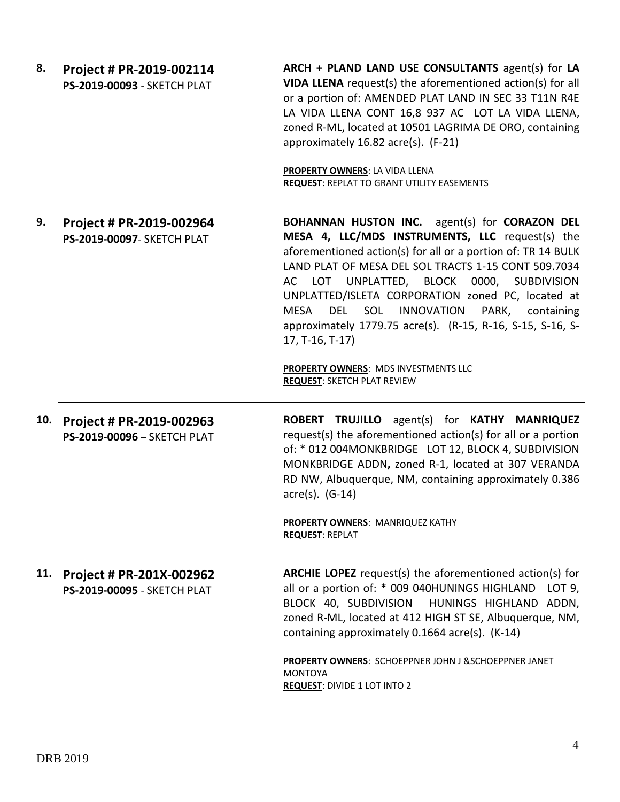| 8.  | Project # PR-2019-002114<br>PS-2019-00093 - SKETCH PLAT | ARCH + PLAND LAND USE CONSULTANTS agent(s) for LA<br>VIDA LLENA request(s) the aforementioned action(s) for all<br>or a portion of: AMENDED PLAT LAND IN SEC 33 T11N R4E<br>LA VIDA LLENA CONT 16,8 937 AC LOT LA VIDA LLENA,<br>zoned R-ML, located at 10501 LAGRIMA DE ORO, containing<br>approximately 16.82 acre(s). (F-21)                                                                                                                                                                         |
|-----|---------------------------------------------------------|---------------------------------------------------------------------------------------------------------------------------------------------------------------------------------------------------------------------------------------------------------------------------------------------------------------------------------------------------------------------------------------------------------------------------------------------------------------------------------------------------------|
|     |                                                         | PROPERTY OWNERS: LA VIDA LLENA<br><b>REQUEST: REPLAT TO GRANT UTILITY EASEMENTS</b>                                                                                                                                                                                                                                                                                                                                                                                                                     |
| 9.  | Project # PR-2019-002964<br>PS-2019-00097- SKETCH PLAT  | <b>BOHANNAN HUSTON INC.</b> agent(s) for <b>CORAZON DEL</b><br>MESA 4, LLC/MDS INSTRUMENTS, LLC request(s) the<br>aforementioned action(s) for all or a portion of: TR 14 BULK<br>LAND PLAT OF MESA DEL SOL TRACTS 1-15 CONT 509.7034<br>LOT UNPLATTED, BLOCK<br>0000, SUBDIVISION<br>AC<br>UNPLATTED/ISLETA CORPORATION zoned PC, located at<br>MESA<br><b>DEL</b><br>SOL<br><b>INNOVATION</b><br>PARK,<br>containing<br>approximately 1779.75 acre(s). (R-15, R-16, S-15, S-16, S-<br>17, T-16, T-17) |
|     |                                                         | PROPERTY OWNERS: MDS INVESTMENTS LLC<br><b>REQUEST: SKETCH PLAT REVIEW</b>                                                                                                                                                                                                                                                                                                                                                                                                                              |
| 10. | Project # PR-2019-002963<br>PS-2019-00096 - SKETCH PLAT | ROBERT TRUJILLO agent(s) for KATHY MANRIQUEZ<br>request(s) the aforementioned action(s) for all or a portion<br>of: * 012 004MONKBRIDGE LOT 12, BLOCK 4, SUBDIVISION<br>MONKBRIDGE ADDN, zoned R-1, located at 307 VERANDA<br>RD NW, Albuquerque, NM, containing approximately 0.386<br>$\arccos 0$ . (G-14)                                                                                                                                                                                            |
|     |                                                         | <b>PROPERTY OWNERS: MANRIQUEZ KATHY</b><br><b>REQUEST: REPLAT</b>                                                                                                                                                                                                                                                                                                                                                                                                                                       |
| 11. | Project # PR-201X-002962<br>PS-2019-00095 - SKETCH PLAT | <b>ARCHIE LOPEZ</b> request(s) the aforementioned action(s) for<br>all or a portion of: * 009 040HUNINGS HIGHLAND<br>LOT $9$ ,<br>BLOCK 40, SUBDIVISION<br>HUNINGS HIGHLAND ADDN,<br>zoned R-ML, located at 412 HIGH ST SE, Albuquerque, NM,<br>containing approximately 0.1664 acre(s). (K-14)                                                                                                                                                                                                         |
|     |                                                         | PROPERTY OWNERS: SCHOEPPNER JOHN J & SCHOEPPNER JANET<br><b>MONTOYA</b><br><b>REQUEST: DIVIDE 1 LOT INTO 2</b>                                                                                                                                                                                                                                                                                                                                                                                          |